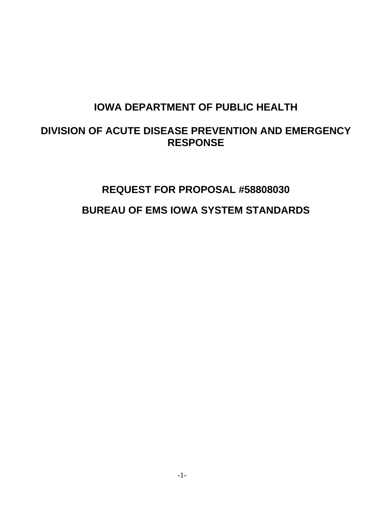# **IOWA DEPARTMENT OF PUBLIC HEALTH**

## **DIVISION OF ACUTE DISEASE PREVENTION AND EMERGENCY RESPONSE**

# **REQUEST FOR PROPOSAL #58808030 BUREAU OF EMS IOWA SYSTEM STANDARDS**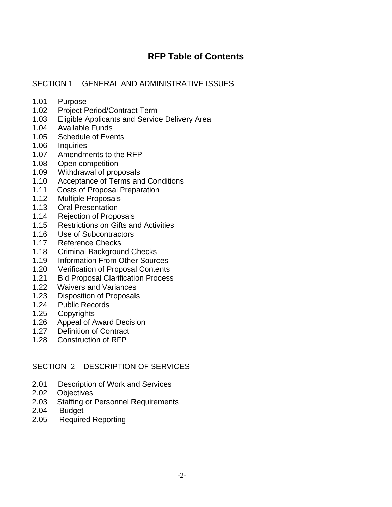## **RFP Table of Contents**

#### SECTION 1 -- GENERAL AND ADMINISTRATIVE ISSUES

- 1.01 Purpose
- 1.02 Project Period/Contract Term
- 1.03 Eligible Applicants and Service Delivery Area
- 1.04 Available Funds
- 1.05 Schedule of Events
- 1.06 Inquiries
- 1.07 Amendments to the RFP
- 1.08 Open competition
- 1.09 Withdrawal of proposals
- 1.10 Acceptance of Terms and Conditions
- 1.11 Costs of Proposal Preparation
- 1.12 Multiple Proposals
- 1.13 Oral Presentation
- 1.14 Rejection of Proposals
- 1.15 Restrictions on Gifts and Activities
- 1.16 Use of Subcontractors
- 1.17 Reference Checks
- 1.18 Criminal Background Checks
- 1.19 Information From Other Sources
- 1.20 Verification of Proposal Contents
- 1.21 Bid Proposal Clarification Process
- 1.22 Waivers and Variances
- 1.23 Disposition of Proposals
- 1.24 Public Records
- 1.25 Copyrights
- 1.26 Appeal of Award Decision
- 1.27 Definition of Contract
- 1.28 Construction of RFP

#### SECTION 2 – DESCRIPTION OF SERVICES

- 2.01 Description of Work and Services
- 2.02 Objectives
- 2.03 Staffing or Personnel Requirements
- 2.04 Budget
- 2.05 Required Reporting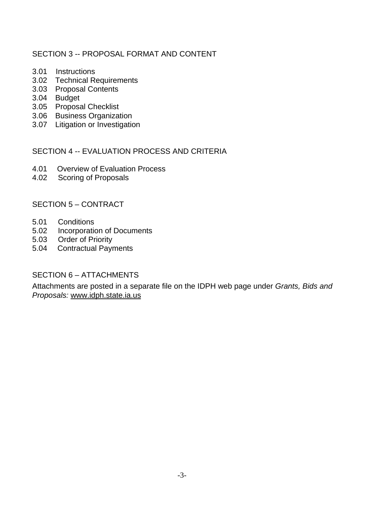#### SECTION 3 -- PROPOSAL FORMAT AND CONTENT

- 3.01 Instructions
- 3.02 Technical Requirements
- 3.03 Proposal Contents
- 3.04 Budget
- 3.05 Proposal Checklist
- 3.06 Business Organization
- 3.07 Litigation or Investigation

#### SECTION 4 -- EVALUATION PROCESS AND CRITERIA

- 4.01 Overview of Evaluation Process
- 4.02 Scoring of Proposals

#### SECTION 5 – CONTRACT

- 5.01 Conditions
- 5.02 Incorporation of Documents
- 5.03 Order of Priority
- 5.04 Contractual Payments

#### SECTION 6 – ATTACHMENTS

Attachments are posted in a separate file on the IDPH web page under *Grants, Bids and Proposals:* [www.idph.state.ia.us](http://www.idph.state.ia.us/)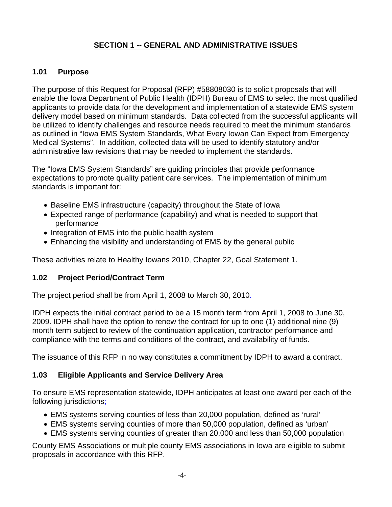## **SECTION 1 -- GENERAL AND ADMINISTRATIVE ISSUES**

#### **1.01 Purpose**

The purpose of this Request for Proposal (RFP) #58808030 is to solicit proposals that will enable the Iowa Department of Public Health (IDPH) Bureau of EMS to select the most qualified applicants to provide data for the development and implementation of a statewide EMS system delivery model based on minimum standards. Data collected from the successful applicants will be utilized to identify challenges and resource needs required to meet the minimum standards as outlined in "Iowa EMS System Standards, What Every Iowan Can Expect from Emergency Medical Systems". In addition, collected data will be used to identify statutory and/or administrative law revisions that may be needed to implement the standards.

The "Iowa EMS System Standards" are guiding principles that provide performance expectations to promote quality patient care services. The implementation of minimum standards is important for:

- Baseline EMS infrastructure (capacity) throughout the State of Iowa
- Expected range of performance (capability) and what is needed to support that performance
- Integration of EMS into the public health system
- Enhancing the visibility and understanding of EMS by the general public

These activities relate to Healthy Iowans 2010, Chapter 22, Goal Statement 1.

#### **1.02 Project Period/Contract Term**

The project period shall be from April 1, 2008 to March 30, 2010.

IDPH expects the initial contract period to be a 15 month term from April 1, 2008 to June 30, 2009. IDPH shall have the option to renew the contract for up to one (1) additional nine (9) month term subject to review of the continuation application, contractor performance and compliance with the terms and conditions of the contract, and availability of funds.

The issuance of this RFP in no way constitutes a commitment by IDPH to award a contract.

#### **1.03 Eligible Applicants and Service Delivery Area**

To ensure EMS representation statewide, IDPH anticipates at least one award per each of the following jurisdictions;

- EMS systems serving counties of less than 20,000 population, defined as 'rural'
- EMS systems serving counties of more than 50,000 population, defined as 'urban'
- EMS systems serving counties of greater than 20,000 and less than 50,000 population

County EMS Associations or multiple county EMS associations in Iowa are eligible to submit proposals in accordance with this RFP.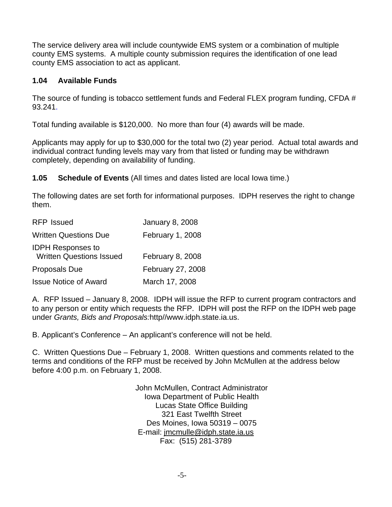The service delivery area will include countywide EMS system or a combination of multiple county EMS systems. A multiple county submission requires the identification of one lead county EMS association to act as applicant.

## **1.04 Available Funds**

The source of funding is tobacco settlement funds and Federal FLEX program funding, CFDA # 93.241.

Total funding available is \$120,000. No more than four (4) awards will be made.

Applicants may apply for up to \$30,000 for the total two (2) year period. Actual total awards and individual contract funding levels may vary from that listed or funding may be withdrawn completely, depending on availability of funding.

**1.05 Schedule of Events** (All times and dates listed are local Iowa time.)

The following dates are set forth for informational purposes. IDPH reserves the right to change them.

| <b>RFP Issued</b>                                           | <b>January 8, 2008</b> |
|-------------------------------------------------------------|------------------------|
| <b>Written Questions Due</b>                                | February 1, 2008       |
| <b>IDPH Responses to</b><br><b>Written Questions Issued</b> | February 8, 2008       |
| Proposals Due                                               | February 27, 2008      |
| <b>Issue Notice of Award</b>                                | March 17, 2008         |

A. RFP Issued – January 8, 2008. IDPH will issue the RFP to current program contractors and to any person or entity which requests the RFP. IDPH will post the RFP on the IDPH web page under *Grants, Bids and Proposals:*http//www.idph.state.ia.us.

B. Applicant's Conference – An applicant's conference will not be held.

C. Written Questions Due – February 1, 2008. Written questions and comments related to the terms and conditions of the RFP must be received by John McMullen at the address below before 4:00 p.m. on February 1, 2008.

> John McMullen, Contract Administrator Iowa Department of Public Health Lucas State Office Building 321 East Twelfth Street Des Moines, Iowa 50319 – 0075 E-mail: jmcmulle@idph.state.ia.us Fax: (515) 281-3789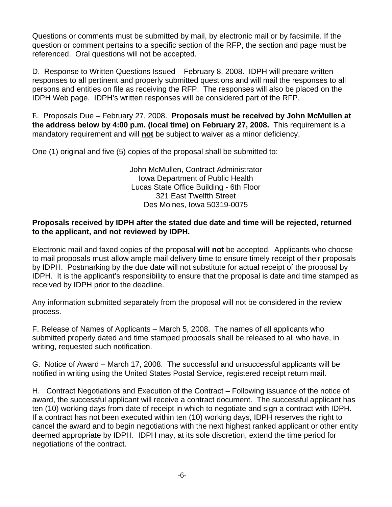Questions or comments must be submitted by mail, by electronic mail or by facsimile. If the question or comment pertains to a specific section of the RFP, the section and page must be referenced. Oral questions will not be accepted.

D. Response to Written Questions Issued – February 8, 2008. IDPH will prepare written responses to all pertinent and properly submitted questions and will mail the responses to all persons and entities on file as receiving the RFP. The responses will also be placed on the IDPH Web page. IDPH's written responses will be considered part of the RFP.

E. Proposals Due – February 27, 2008. **Proposals must be received by John McMullen at the address below by 4:00 p.m. (local time) on February 27, 2008.** This requirement is a mandatory requirement and will **not** be subject to waiver as a minor deficiency.

One (1) original and five (5) copies of the proposal shall be submitted to:

John McMullen, Contract Administrator Iowa Department of Public Health Lucas State Office Building - 6th Floor 321 East Twelfth Street Des Moines, Iowa 50319-0075

#### **Proposals received by IDPH after the stated due date and time will be rejected, returned to the applicant, and not reviewed by IDPH.**

Electronic mail and faxed copies of the proposal **will not** be accepted. Applicants who choose to mail proposals must allow ample mail delivery time to ensure timely receipt of their proposals by IDPH. Postmarking by the due date will not substitute for actual receipt of the proposal by IDPH. It is the applicant's responsibility to ensure that the proposal is date and time stamped as received by IDPH prior to the deadline.

Any information submitted separately from the proposal will not be considered in the review process.

F. Release of Names of Applicants – March 5, 2008. The names of all applicants who submitted properly dated and time stamped proposals shall be released to all who have, in writing, requested such notification.

G. Notice of Award – March 17, 2008. The successful and unsuccessful applicants will be notified in writing using the United States Postal Service, registered receipt return mail.

H. Contract Negotiations and Execution of the Contract – Following issuance of the notice of award, the successful applicant will receive a contract document. The successful applicant has ten (10) working days from date of receipt in which to negotiate and sign a contract with IDPH. If a contract has not been executed within ten (10) working days, IDPH reserves the right to cancel the award and to begin negotiations with the next highest ranked applicant or other entity deemed appropriate by IDPH. IDPH may, at its sole discretion, extend the time period for negotiations of the contract.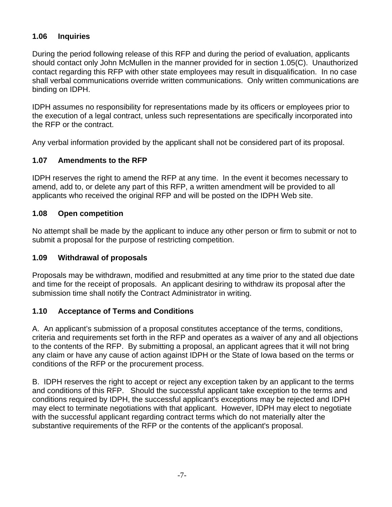#### **1.06 Inquiries**

During the period following release of this RFP and during the period of evaluation, applicants should contact only John McMullen in the manner provided for in section 1.05(C). Unauthorized contact regarding this RFP with other state employees may result in disqualification. In no case shall verbal communications override written communications. Only written communications are binding on IDPH.

IDPH assumes no responsibility for representations made by its officers or employees prior to the execution of a legal contract, unless such representations are specifically incorporated into the RFP or the contract.

Any verbal information provided by the applicant shall not be considered part of its proposal.

## **1.07 Amendments to the RFP**

IDPH reserves the right to amend the RFP at any time. In the event it becomes necessary to amend, add to, or delete any part of this RFP, a written amendment will be provided to all applicants who received the original RFP and will be posted on the IDPH Web site.

#### **1.08 Open competition**

No attempt shall be made by the applicant to induce any other person or firm to submit or not to submit a proposal for the purpose of restricting competition.

#### **1.09 Withdrawal of proposals**

Proposals may be withdrawn, modified and resubmitted at any time prior to the stated due date and time for the receipt of proposals. An applicant desiring to withdraw its proposal after the submission time shall notify the Contract Administrator in writing.

#### **1.10 Acceptance of Terms and Conditions**

A. An applicant's submission of a proposal constitutes acceptance of the terms, conditions, criteria and requirements set forth in the RFP and operates as a waiver of any and all objections to the contents of the RFP. By submitting a proposal, an applicant agrees that it will not bring any claim or have any cause of action against IDPH or the State of Iowa based on the terms or conditions of the RFP or the procurement process.

B. IDPH reserves the right to accept or reject any exception taken by an applicant to the terms and conditions of this RFP. Should the successful applicant take exception to the terms and conditions required by IDPH, the successful applicant's exceptions may be rejected and IDPH may elect to terminate negotiations with that applicant. However, IDPH may elect to negotiate with the successful applicant regarding contract terms which do not materially alter the substantive requirements of the RFP or the contents of the applicant's proposal.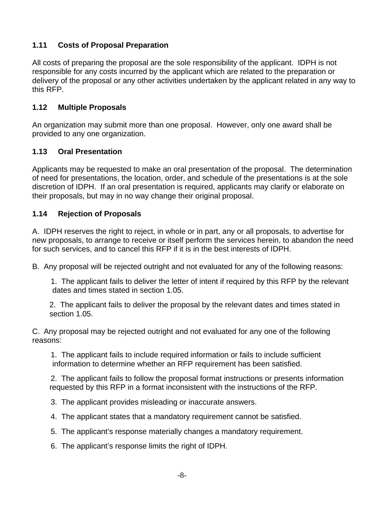## **1.11 Costs of Proposal Preparation**

All costs of preparing the proposal are the sole responsibility of the applicant. IDPH is not responsible for any costs incurred by the applicant which are related to the preparation or delivery of the proposal or any other activities undertaken by the applicant related in any way to this RFP.

#### **1.12 Multiple Proposals**

An organization may submit more than one proposal. However, only one award shall be provided to any one organization.

#### **1.13 Oral Presentation**

Applicants may be requested to make an oral presentation of the proposal. The determination of need for presentations, the location, order, and schedule of the presentations is at the sole discretion of IDPH. If an oral presentation is required, applicants may clarify or elaborate on their proposals, but may in no way change their original proposal.

#### **1.14 Rejection of Proposals**

A. IDPH reserves the right to reject, in whole or in part, any or all proposals, to advertise for new proposals, to arrange to receive or itself perform the services herein, to abandon the need for such services, and to cancel this RFP if it is in the best interests of IDPH.

B. Any proposal will be rejected outright and not evaluated for any of the following reasons:

1. The applicant fails to deliver the letter of intent if required by this RFP by the relevant dates and times stated in section 1.05.

2. The applicant fails to deliver the proposal by the relevant dates and times stated in section 1.05.

C. Any proposal may be rejected outright and not evaluated for any one of the following reasons:

1. The applicant fails to include required information or fails to include sufficient information to determine whether an RFP requirement has been satisfied.

2. The applicant fails to follow the proposal format instructions or presents information requested by this RFP in a format inconsistent with the instructions of the RFP.

3. The applicant provides misleading or inaccurate answers.

- 4. The applicant states that a mandatory requirement cannot be satisfied.
- 5. The applicant's response materially changes a mandatory requirement.

6. The applicant's response limits the right of IDPH.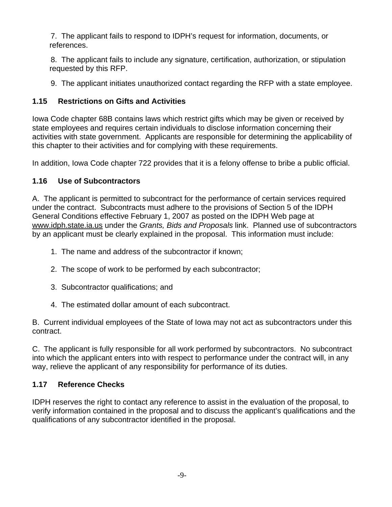7. The applicant fails to respond to IDPH's request for information, documents, or references.

8. The applicant fails to include any signature, certification, authorization, or stipulation requested by this RFP.

9. The applicant initiates unauthorized contact regarding the RFP with a state employee.

## **1.15 Restrictions on Gifts and Activities**

Iowa Code chapter 68B contains laws which restrict gifts which may be given or received by state employees and requires certain individuals to disclose information concerning their activities with state government. Applicants are responsible for determining the applicability of this chapter to their activities and for complying with these requirements.

In addition, Iowa Code chapter 722 provides that it is a felony offense to bribe a public official.

## **1.16 Use of Subcontractors**

A. The applicant is permitted to subcontract for the performance of certain services required under the contract. Subcontracts must adhere to the provisions of Section 5 of the IDPH General Conditions effective February 1, 2007 as posted on the IDPH Web page at [www.idph.state.ia.us](http://www.idph.state.ia.us/) under the *Grants, Bids and Proposals* link. Planned use of subcontractors by an applicant must be clearly explained in the proposal. This information must include:

- 1. The name and address of the subcontractor if known;
- 2. The scope of work to be performed by each subcontractor;
- 3. Subcontractor qualifications; and
- 4. The estimated dollar amount of each subcontract.

B. Current individual employees of the State of Iowa may not act as subcontractors under this contract.

C. The applicant is fully responsible for all work performed by subcontractors. No subcontract into which the applicant enters into with respect to performance under the contract will, in any way, relieve the applicant of any responsibility for performance of its duties.

## **1.17 Reference Checks**

IDPH reserves the right to contact any reference to assist in the evaluation of the proposal, to verify information contained in the proposal and to discuss the applicant's qualifications and the qualifications of any subcontractor identified in the proposal.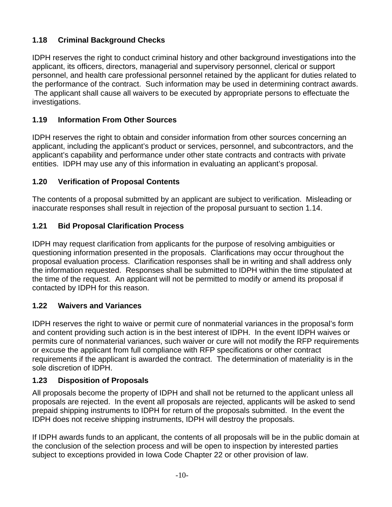## **1.18 Criminal Background Checks**

IDPH reserves the right to conduct criminal history and other background investigations into the applicant, its officers, directors, managerial and supervisory personnel, clerical or support personnel, and health care professional personnel retained by the applicant for duties related to the performance of the contract. Such information may be used in determining contract awards. The applicant shall cause all waivers to be executed by appropriate persons to effectuate the investigations.

## **1.19 Information From Other Sources**

IDPH reserves the right to obtain and consider information from other sources concerning an applicant, including the applicant's product or services, personnel, and subcontractors, and the applicant's capability and performance under other state contracts and contracts with private entities. IDPH may use any of this information in evaluating an applicant's proposal.

## **1.20 Verification of Proposal Contents**

The contents of a proposal submitted by an applicant are subject to verification. Misleading or inaccurate responses shall result in rejection of the proposal pursuant to section 1.14.

## **1.21 Bid Proposal Clarification Process**

IDPH may request clarification from applicants for the purpose of resolving ambiguities or questioning information presented in the proposals. Clarifications may occur throughout the proposal evaluation process. Clarification responses shall be in writing and shall address only the information requested. Responses shall be submitted to IDPH within the time stipulated at the time of the request. An applicant will not be permitted to modify or amend its proposal if contacted by IDPH for this reason.

## **1.22 Waivers and Variances**

IDPH reserves the right to waive or permit cure of nonmaterial variances in the proposal's form and content providing such action is in the best interest of IDPH. In the event IDPH waives or permits cure of nonmaterial variances, such waiver or cure will not modify the RFP requirements or excuse the applicant from full compliance with RFP specifications or other contract requirements if the applicant is awarded the contract. The determination of materiality is in the sole discretion of IDPH.

## **1.23 Disposition of Proposals**

All proposals become the property of IDPH and shall not be returned to the applicant unless all proposals are rejected. In the event all proposals are rejected, applicants will be asked to send prepaid shipping instruments to IDPH for return of the proposals submitted. In the event the IDPH does not receive shipping instruments, IDPH will destroy the proposals.

If IDPH awards funds to an applicant, the contents of all proposals will be in the public domain at the conclusion of the selection process and will be open to inspection by interested parties subject to exceptions provided in Iowa Code Chapter 22 or other provision of law.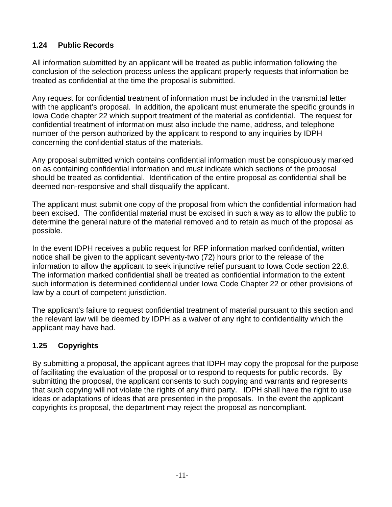## **1.24 Public Records**

All information submitted by an applicant will be treated as public information following the conclusion of the selection process unless the applicant properly requests that information be treated as confidential at the time the proposal is submitted.

Any request for confidential treatment of information must be included in the transmittal letter with the applicant's proposal. In addition, the applicant must enumerate the specific grounds in Iowa Code chapter 22 which support treatment of the material as confidential. The request for confidential treatment of information must also include the name, address, and telephone number of the person authorized by the applicant to respond to any inquiries by IDPH concerning the confidential status of the materials.

Any proposal submitted which contains confidential information must be conspicuously marked on as containing confidential information and must indicate which sections of the proposal should be treated as confidential. Identification of the entire proposal as confidential shall be deemed non-responsive and shall disqualify the applicant.

The applicant must submit one copy of the proposal from which the confidential information had been excised. The confidential material must be excised in such a way as to allow the public to determine the general nature of the material removed and to retain as much of the proposal as possible.

In the event IDPH receives a public request for RFP information marked confidential, written notice shall be given to the applicant seventy-two (72) hours prior to the release of the information to allow the applicant to seek injunctive relief pursuant to Iowa Code section 22.8. The information marked confidential shall be treated as confidential information to the extent such information is determined confidential under Iowa Code Chapter 22 or other provisions of law by a court of competent jurisdiction.

The applicant's failure to request confidential treatment of material pursuant to this section and the relevant law will be deemed by IDPH as a waiver of any right to confidentiality which the applicant may have had.

## **1.25 Copyrights**

By submitting a proposal, the applicant agrees that IDPH may copy the proposal for the purpose of facilitating the evaluation of the proposal or to respond to requests for public records. By submitting the proposal, the applicant consents to such copying and warrants and represents that such copying will not violate the rights of any third party. IDPH shall have the right to use ideas or adaptations of ideas that are presented in the proposals. In the event the applicant copyrights its proposal, the department may reject the proposal as noncompliant.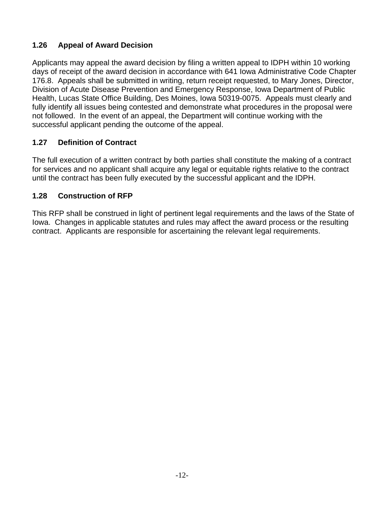## **1.26 Appeal of Award Decision**

Applicants may appeal the award decision by filing a written appeal to IDPH within 10 working days of receipt of the award decision in accordance with 641 Iowa Administrative Code Chapter 176.8. Appeals shall be submitted in writing, return receipt requested, to Mary Jones, Director, Division of Acute Disease Prevention and Emergency Response, Iowa Department of Public Health, Lucas State Office Building, Des Moines, Iowa 50319-0075. Appeals must clearly and fully identify all issues being contested and demonstrate what procedures in the proposal were not followed. In the event of an appeal, the Department will continue working with the successful applicant pending the outcome of the appeal.

## **1.27 Definition of Contract**

The full execution of a written contract by both parties shall constitute the making of a contract for services and no applicant shall acquire any legal or equitable rights relative to the contract until the contract has been fully executed by the successful applicant and the IDPH.

#### **1.28 Construction of RFP**

This RFP shall be construed in light of pertinent legal requirements and the laws of the State of Iowa. Changes in applicable statutes and rules may affect the award process or the resulting contract. Applicants are responsible for ascertaining the relevant legal requirements.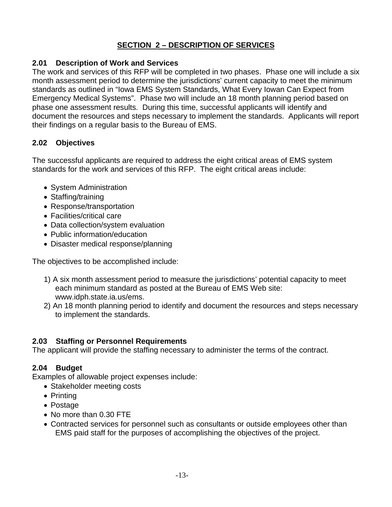## **SECTION 2 – DESCRIPTION OF SERVICES**

#### **2.01 Description of Work and Services**

The work and services of this RFP will be completed in two phases. Phase one will include a six month assessment period to determine the jurisdictions' current capacity to meet the minimum standards as outlined in "Iowa EMS System Standards, What Every Iowan Can Expect from Emergency Medical Systems". Phase two will include an 18 month planning period based on phase one assessment results. During this time, successful applicants will identify and document the resources and steps necessary to implement the standards. Applicants will report their findings on a regular basis to the Bureau of EMS.

## **2.02 Objectives**

The successful applicants are required to address the eight critical areas of EMS system standards for the work and services of this RFP. The eight critical areas include:

- System Administration
- Staffing/training
- Response/transportation
- Facilities/critical care
- Data collection/system evaluation
- Public information/education
- Disaster medical response/planning

The objectives to be accomplished include:

- 1)A six month assessment period to measure the jurisdictions' potential capacity to meet each minimum standard as posted at the Bureau of EMS Web site: www.idph.state.ia.us/ems.
- 2) An 18 month planning period to identify and document the resources and steps necessary to implement the standards.

#### **2.03 Staffing or Personnel Requirements**

The applicant will provide the staffing necessary to administer the terms of the contract.

#### **2.04 Budget**

Examples of allowable project expenses include:

- Stakeholder meeting costs
- Printing
- Postage
- No more than 0.30 FTE
- Contracted services for personnel such as consultants or outside employees other than EMS paid staff for the purposes of accomplishing the objectives of the project.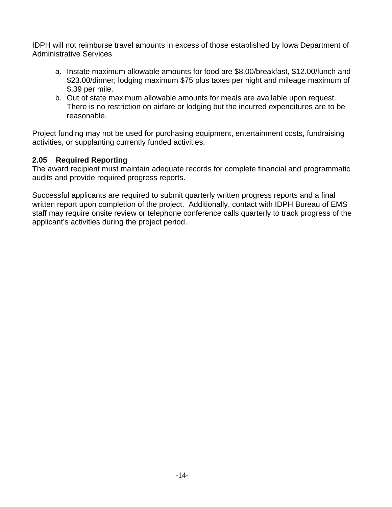IDPH will not reimburse travel amounts in excess of those established by Iowa Department of Administrative Services

- a. Instate maximum allowable amounts for food are \$8.00/breakfast, \$12.00/lunch and \$23.00/dinner; lodging maximum \$75 plus taxes per night and mileage maximum of \$.39 per mile.
- b. Out of state maximum allowable amounts for meals are available upon request. There is no restriction on airfare or lodging but the incurred expenditures are to be reasonable.

Project funding may not be used for purchasing equipment, entertainment costs, fundraising activities, or supplanting currently funded activities.

## **2.05 Required Reporting**

The award recipient must maintain adequate records for complete financial and programmatic audits and provide required progress reports.

Successful applicants are required to submit quarterly written progress reports and a final written report upon completion of the project. Additionally, contact with IDPH Bureau of EMS staff may require onsite review or telephone conference calls quarterly to track progress of the applicant's activities during the project period.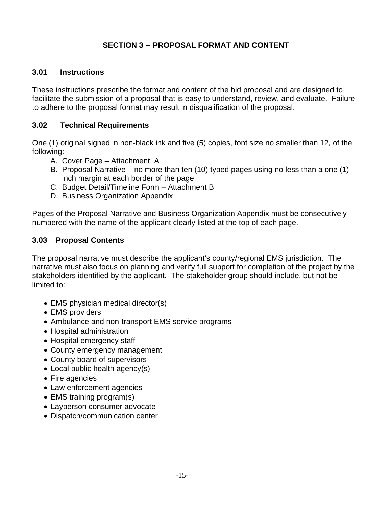## **SECTION 3 -- PROPOSAL FORMAT AND CONTENT**

#### **3.01 Instructions**

These instructions prescribe the format and content of the bid proposal and are designed to facilitate the submission of a proposal that is easy to understand, review, and evaluate. Failure to adhere to the proposal format may result in disqualification of the proposal.

#### **3.02 Technical Requirements**

One (1) original signed in non-black ink and five (5) copies, font size no smaller than 12, of the following:

- A. Cover Page Attachment A
- B. Proposal Narrative no more than ten (10) typed pages using no less than a one (1) inch margin at each border of the page
- C. Budget Detail/Timeline Form Attachment B
- D. Business Organization Appendix

Pages of the Proposal Narrative and Business Organization Appendix must be consecutively numbered with the name of the applicant clearly listed at the top of each page.

#### **3.03 Proposal Contents**

The proposal narrative must describe the applicant's county/regional EMS jurisdiction. The narrative must also focus on planning and verify full support for completion of the project by the stakeholders identified by the applicant. The stakeholder group should include, but not be limited to:

- EMS physician medical director(s)
- EMS providers
- Ambulance and non-transport EMS service programs
- Hospital administration
- Hospital emergency staff
- County emergency management
- County board of supervisors
- Local public health agency(s)
- Fire agencies
- Law enforcement agencies
- EMS training program(s)
- Layperson consumer advocate
- Dispatch/communication center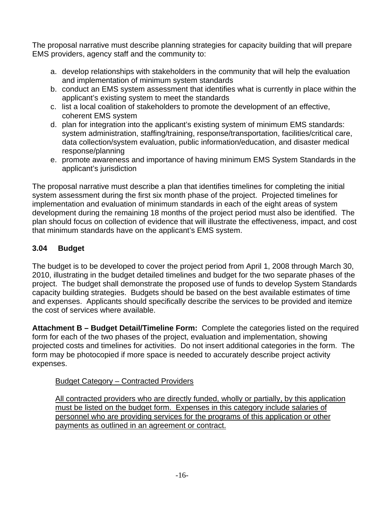The proposal narrative must describe planning strategies for capacity building that will prepare EMS providers, agency staff and the community to:

- a. develop relationships with stakeholders in the community that will help the evaluation and implementation of minimum system standards
- b. conduct an EMS system assessment that identifies what is currently in place within the applicant's existing system to meet the standards
- c. list a local coalition of stakeholders to promote the development of an effective, coherent EMS system
- d. plan for integration into the applicant's existing system of minimum EMS standards: system administration, staffing/training, response/transportation, facilities/critical care, data collection/system evaluation, public information/education, and disaster medical response/planning
- e. promote awareness and importance of having minimum EMS System Standards in the applicant's jurisdiction

The proposal narrative must describe a plan that identifies timelines for completing the initial system assessment during the first six month phase of the project. Projected timelines for implementation and evaluation of minimum standards in each of the eight areas of system development during the remaining 18 months of the project period must also be identified. The plan should focus on collection of evidence that will illustrate the effectiveness, impact, and cost that minimum standards have on the applicant's EMS system.

## **3.04 Budget**

The budget is to be developed to cover the project period from April 1, 2008 through March 30, 2010, illustrating in the budget detailed timelines and budget for the two separate phases of the project. The budget shall demonstrate the proposed use of funds to develop System Standards capacity building strategies. Budgets should be based on the best available estimates of time and expenses. Applicants should specifically describe the services to be provided and itemize the cost of services where available.

**Attachment B – Budget Detail/Timeline Form:** Complete the categories listed on the required form for each of the two phases of the project, evaluation and implementation, showing projected costs and timelines for activities. Do not insert additional categories in the form. The form may be photocopied if more space is needed to accurately describe project activity expenses.

#### Budget Category – Contracted Providers

All contracted providers who are directly funded, wholly or partially, by this application must be listed on the budget form. Expenses in this category include salaries of personnel who are providing services for the programs of this application or other payments as outlined in an agreement or contract.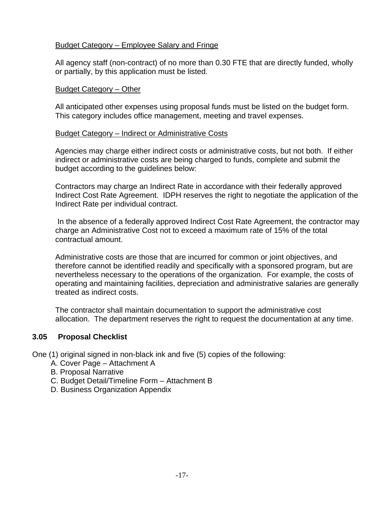#### Budget Category – Employee Salary and Fringe

All agency staff (non-contract) of no more than 0.30 FTE that are directly funded, wholly or partially, by this application must be listed.

#### Budget Category – Other

All anticipated other expenses using proposal funds must be listed on the budget form. This category includes office management, meeting and travel expenses.

#### Budget Category – Indirect or Administrative Costs

Agencies may charge either indirect costs or administrative costs, but not both. If either indirect or administrative costs are being charged to funds, complete and submit the budget according to the guidelines below:

Contractors may charge an Indirect Rate in accordance with their federally approved Indirect Cost Rate Agreement. IDPH reserves the right to negotiate the application of the Indirect Rate per individual contract.

 In the absence of a federally approved Indirect Cost Rate Agreement, the contractor may charge an Administrative Cost not to exceed a maximum rate of 15% of the total contractual amount.

Administrative costs are those that are incurred for common or joint objectives, and therefore cannot be identified readily and specifically with a sponsored program, but are nevertheless necessary to the operations of the organization. For example, the costs of operating and maintaining facilities, depreciation and administrative salaries are generally treated as indirect costs.

The contractor shall maintain documentation to support the administrative cost allocation. The department reserves the right to request the documentation at any time.

#### **3.05 Proposal Checklist**

One (1) original signed in non-black ink and five (5) copies of the following:

- A. Cover Page Attachment A
- B. Proposal Narrative
- C. Budget Detail/Timeline Form Attachment B
- D. Business Organization Appendix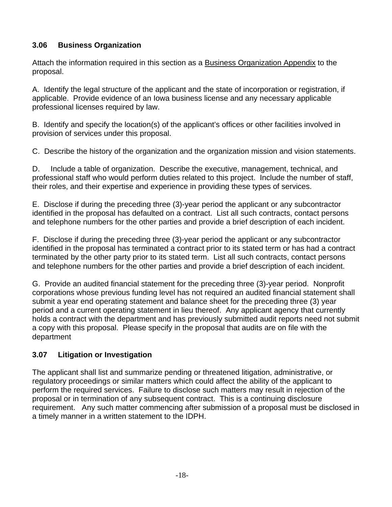## **3.06 Business Organization**

Attach the information required in this section as a Business Organization Appendix to the proposal.

A. Identify the legal structure of the applicant and the state of incorporation or registration, if applicable. Provide evidence of an Iowa business license and any necessary applicable professional licenses required by law.

B. Identify and specify the location(s) of the applicant's offices or other facilities involved in provision of services under this proposal.

C. Describe the history of the organization and the organization mission and vision statements.

D. Include a table of organization. Describe the executive, management, technical, and professional staff who would perform duties related to this project. Include the number of staff, their roles, and their expertise and experience in providing these types of services.

E. Disclose if during the preceding three (3)-year period the applicant or any subcontractor identified in the proposal has defaulted on a contract. List all such contracts, contact persons and telephone numbers for the other parties and provide a brief description of each incident.

F. Disclose if during the preceding three (3)-year period the applicant or any subcontractor identified in the proposal has terminated a contract prior to its stated term or has had a contract terminated by the other party prior to its stated term. List all such contracts, contact persons and telephone numbers for the other parties and provide a brief description of each incident.

G. Provide an audited financial statement for the preceding three (3)-year period. Nonprofit corporations whose previous funding level has not required an audited financial statement shall submit a year end operating statement and balance sheet for the preceding three (3) year period and a current operating statement in lieu thereof. Any applicant agency that currently holds a contract with the department and has previously submitted audit reports need not submit a copy with this proposal. Please specify in the proposal that audits are on file with the department

## **3.07 Litigation or Investigation**

The applicant shall list and summarize pending or threatened litigation, administrative, or regulatory proceedings or similar matters which could affect the ability of the applicant to perform the required services. Failure to disclose such matters may result in rejection of the proposal or in termination of any subsequent contract. This is a continuing disclosure requirement. Any such matter commencing after submission of a proposal must be disclosed in a timely manner in a written statement to the IDPH.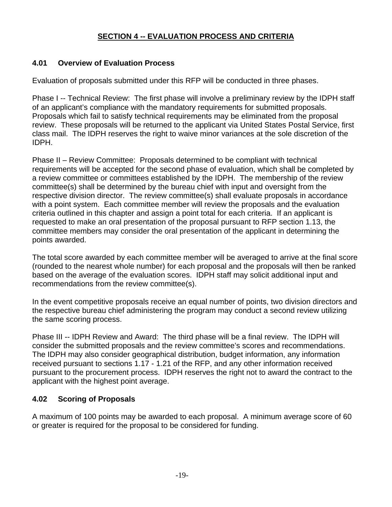## **SECTION 4 -- EVALUATION PROCESS AND CRITERIA**

#### **4.01 Overview of Evaluation Process**

Evaluation of proposals submitted under this RFP will be conducted in three phases.

Phase I -- Technical Review: The first phase will involve a preliminary review by the IDPH staff of an applicant's compliance with the mandatory requirements for submitted proposals. Proposals which fail to satisfy technical requirements may be eliminated from the proposal review. These proposals will be returned to the applicant via United States Postal Service, first class mail. The IDPH reserves the right to waive minor variances at the sole discretion of the IDPH.

Phase II – Review Committee: Proposals determined to be compliant with technical requirements will be accepted for the second phase of evaluation, which shall be completed by a review committee or committees established by the IDPH. The membership of the review committee(s) shall be determined by the bureau chief with input and oversight from the respective division director. The review committee(s) shall evaluate proposals in accordance with a point system. Each committee member will review the proposals and the evaluation criteria outlined in this chapter and assign a point total for each criteria. If an applicant is requested to make an oral presentation of the proposal pursuant to RFP section 1.13, the committee members may consider the oral presentation of the applicant in determining the points awarded.

The total score awarded by each committee member will be averaged to arrive at the final score (rounded to the nearest whole number) for each proposal and the proposals will then be ranked based on the average of the evaluation scores. IDPH staff may solicit additional input and recommendations from the review committee(s).

In the event competitive proposals receive an equal number of points, two division directors and the respective bureau chief administering the program may conduct a second review utilizing the same scoring process.

Phase III -- IDPH Review and Award: The third phase will be a final review. The IDPH will consider the submitted proposals and the review committee's scores and recommendations. The IDPH may also consider geographical distribution, budget information, any information received pursuant to sections 1.17 - 1.21 of the RFP, and any other information received pursuant to the procurement process. IDPH reserves the right not to award the contract to the applicant with the highest point average.

## **4.02 Scoring of Proposals**

A maximum of 100 points may be awarded to each proposal. A minimum average score of 60 or greater is required for the proposal to be considered for funding.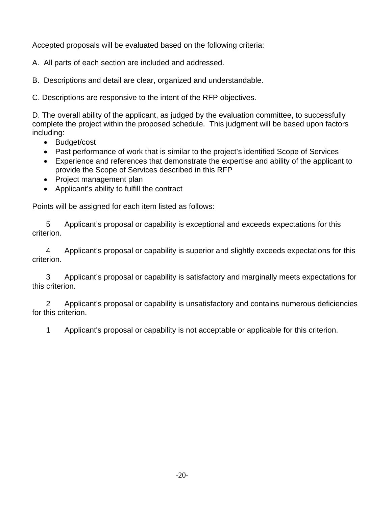Accepted proposals will be evaluated based on the following criteria:

A. All parts of each section are included and addressed.

B. Descriptions and detail are clear, organized and understandable.

C. Descriptions are responsive to the intent of the RFP objectives.

D. The overall ability of the applicant, as judged by the evaluation committee, to successfully complete the project within the proposed schedule. This judgment will be based upon factors including:

- Budget/cost
- Past performance of work that is similar to the project's identified Scope of Services
- Experience and references that demonstrate the expertise and ability of the applicant to provide the Scope of Services described in this RFP
- Project management plan
- Applicant's ability to fulfill the contract

Points will be assigned for each item listed as follows:

5 Applicant's proposal or capability is exceptional and exceeds expectations for this criterion.

4 Applicant's proposal or capability is superior and slightly exceeds expectations for this criterion.

3 Applicant's proposal or capability is satisfactory and marginally meets expectations for this criterion.

2 Applicant's proposal or capability is unsatisfactory and contains numerous deficiencies for this criterion.

1 Applicant's proposal or capability is not acceptable or applicable for this criterion.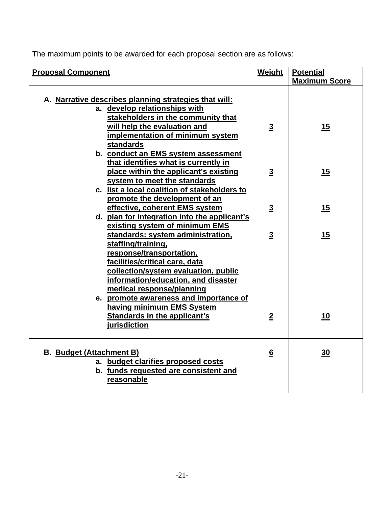The maximum points to be awarded for each proposal section are as follows:

| <b>Proposal Component</b>                                                                                                                                                                                                                                                                                | <b>Weight</b>   | <b>Potential</b>     |
|----------------------------------------------------------------------------------------------------------------------------------------------------------------------------------------------------------------------------------------------------------------------------------------------------------|-----------------|----------------------|
|                                                                                                                                                                                                                                                                                                          |                 | <b>Maximum Score</b> |
| A. Narrative describes planning strategies that will:<br>a. develop relationships with<br>stakeholders in the community that<br>will help the evaluation and                                                                                                                                             | $\overline{3}$  | <u>15</u>            |
| implementation of minimum system<br>standards                                                                                                                                                                                                                                                            |                 |                      |
| b. conduct an EMS system assessment<br>that identifies what is currently in<br>place within the applicant's existing                                                                                                                                                                                     | $\overline{3}$  | 15                   |
| system to meet the standards<br>c. list a local coalition of stakeholders to<br>promote the development of an                                                                                                                                                                                            |                 |                      |
| effective, coherent EMS system<br>d. plan for integration into the applicant's<br>existing system of minimum EMS                                                                                                                                                                                         | $\overline{3}$  | <u> 15</u>           |
| standards: system administration,<br>staffing/training,<br>response/transportation,<br>facilities/critical care, data<br>collection/system evaluation, public<br>information/education, and disaster<br>medical response/planning<br>e. promote awareness and importance of<br>having minimum EMS System | $\overline{3}$  | 15                   |
| <b>Standards in the applicant's</b><br>jurisdiction                                                                                                                                                                                                                                                      | $\overline{2}$  | <u>10</u>            |
| <b>B.</b> Budget (Attachment B)<br>a. budget clarifies proposed costs<br>b. funds requested are consistent and<br>reasonable                                                                                                                                                                             | $6\overline{6}$ | 30                   |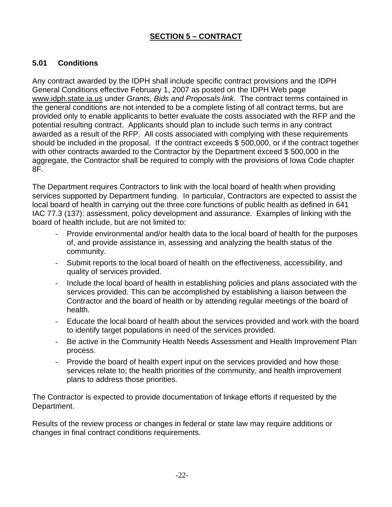## **SECTION 5 – CONTRACT**

## **5.01 Conditions**

Any contract awarded by the IDPH shall include specific contract provisions and the IDPH General Conditions effective February 1, 2007 as posted on the IDPH Web page [www.idph.state.ia.us](http://www.idph.state.ia.us/) under *Grants, Bids and Proposals link*. The contract terms contained in the general conditions are not intended to be a complete listing of all contract terms, but are provided only to enable applicants to better evaluate the costs associated with the RFP and the potential resulting contract. Applicants should plan to include such terms in any contract awarded as a result of the RFP. All costs associated with complying with these requirements should be included in the proposal. If the contract exceeds \$ 500,000, or if the contract together with other contracts awarded to the Contractor by the Department exceed \$ 500,000 in the aggregate, the Contractor shall be required to comply with the provisions of Iowa Code chapter 8F.

The Department requires Contractors to link with the local board of health when providing services supported by Department funding. In particular, Contractors are expected to assist the local board of health in carrying out the three core functions of public health as defined in 641 IAC 77.3 (137): assessment, policy development and assurance. Examples of linking with the board of health include, but are not limited to:

- Provide environmental and/or health data to the local board of health for the purposes of, and provide assistance in, assessing and analyzing the health status of the community.
- Submit reports to the local board of health on the effectiveness, accessibility, and quality of services provided.
- Include the local board of health in establishing policies and plans associated with the services provided. This can be accomplished by establishing a liaison between the Contractor and the board of health or by attending regular meetings of the board of health.
- Educate the local board of health about the services provided and work with the board to identify target populations in need of the services provided.
- Be active in the Community Health Needs Assessment and Health Improvement Plan process.
- Provide the board of health expert input on the services provided and how those services relate to; the health priorities of the community, and health improvement plans to address those priorities.

The Contractor is expected to provide documentation of linkage efforts if requested by the Department.

Results of the review process or changes in federal or state law may require additions or changes in final contract conditions requirements.